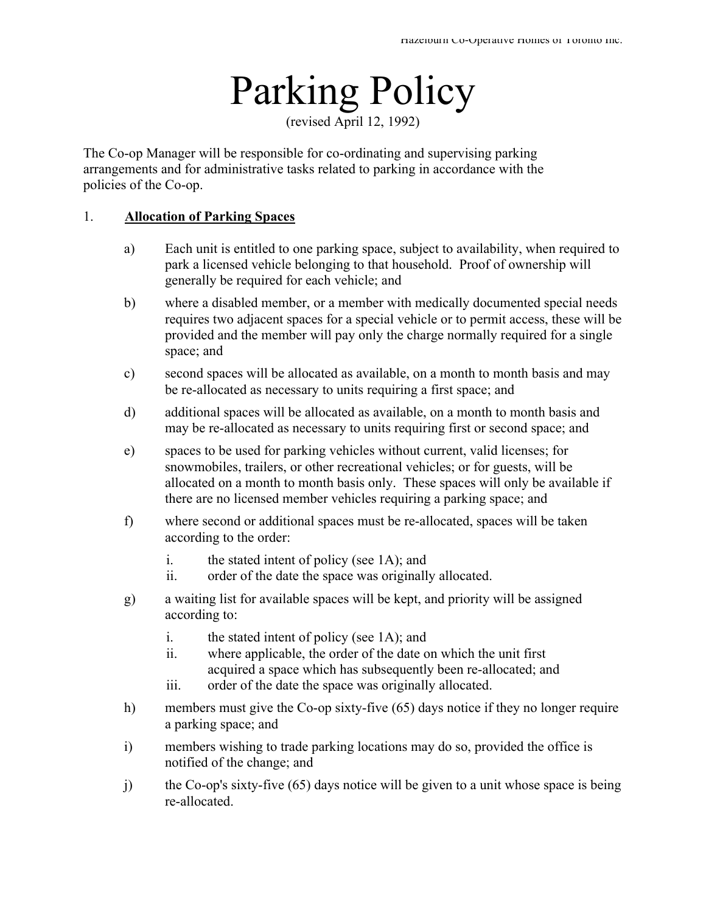## Parking Policy

(revised April 12, 1992)

The Co-op Manager will be responsible for co-ordinating and supervising parking arrangements and for administrative tasks related to parking in accordance with the policies of the Co-op.

## 1. **Allocation of Parking Spaces**

- a) Each unit is entitled to one parking space, subject to availability, when required to park a licensed vehicle belonging to that household. Proof of ownership will generally be required for each vehicle; and
- b) where a disabled member, or a member with medically documented special needs requires two adjacent spaces for a special vehicle or to permit access, these will be provided and the member will pay only the charge normally required for a single space; and
- c) second spaces will be allocated as available, on a month to month basis and may be re-allocated as necessary to units requiring a first space; and
- d) additional spaces will be allocated as available, on a month to month basis and may be re-allocated as necessary to units requiring first or second space; and
- e) spaces to be used for parking vehicles without current, valid licenses; for snowmobiles, trailers, or other recreational vehicles; or for guests, will be allocated on a month to month basis only. These spaces will only be available if there are no licensed member vehicles requiring a parking space; and
- f) where second or additional spaces must be re-allocated, spaces will be taken according to the order:
	- i. the stated intent of policy (see 1A); and
	- ii. order of the date the space was originally allocated.
- g) a waiting list for available spaces will be kept, and priority will be assigned according to:
	- i. the stated intent of policy (see 1A); and
	- ii. where applicable, the order of the date on which the unit first acquired a space which has subsequently been re-allocated; and
	- iii. order of the date the space was originally allocated.
- h) members must give the Co-op sixty-five (65) days notice if they no longer require a parking space; and
- i) members wishing to trade parking locations may do so, provided the office is notified of the change; and
- j) the Co-op's sixty-five (65) days notice will be given to a unit whose space is being re-allocated.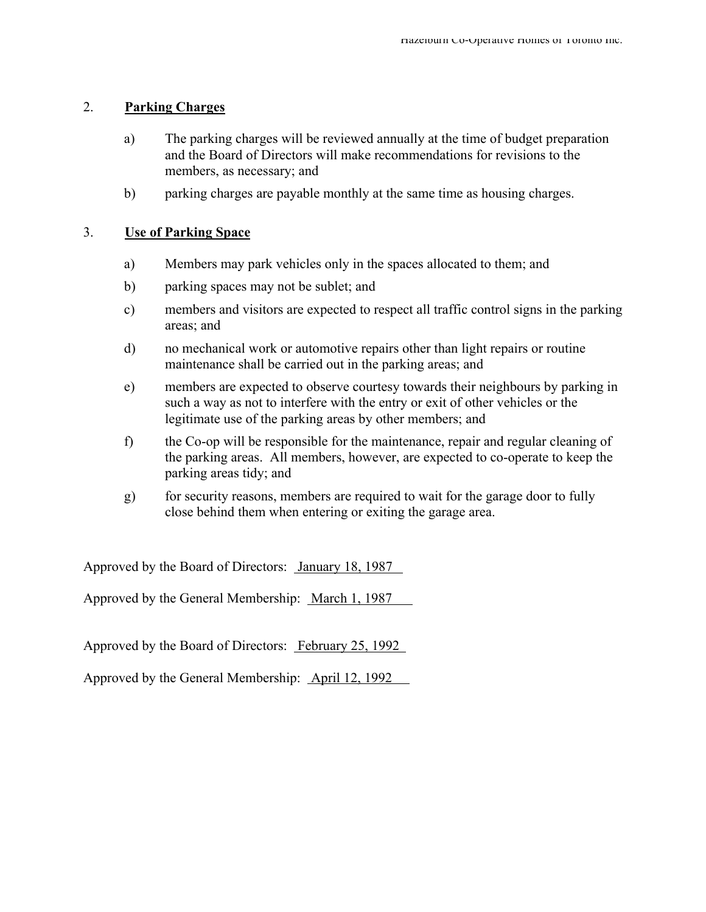## 2. **Parking Charges**

- a) The parking charges will be reviewed annually at the time of budget preparation and the Board of Directors will make recommendations for revisions to the members, as necessary; and
- b) parking charges are payable monthly at the same time as housing charges.

## 3. **Use of Parking Space**

- a) Members may park vehicles only in the spaces allocated to them; and
- b) parking spaces may not be sublet; and
- c) members and visitors are expected to respect all traffic control signs in the parking areas; and
- d) no mechanical work or automotive repairs other than light repairs or routine maintenance shall be carried out in the parking areas; and
- e) members are expected to observe courtesy towards their neighbours by parking in such a way as not to interfere with the entry or exit of other vehicles or the legitimate use of the parking areas by other members; and
- f) the Co-op will be responsible for the maintenance, repair and regular cleaning of the parking areas. All members, however, are expected to co-operate to keep the parking areas tidy; and
- g) for security reasons, members are required to wait for the garage door to fully close behind them when entering or exiting the garage area.

Approved by the Board of Directors: January 18, 1987

Approved by the General Membership: March 1, 1987

Approved by the Board of Directors: February 25, 1992

Approved by the General Membership: April 12, 1992